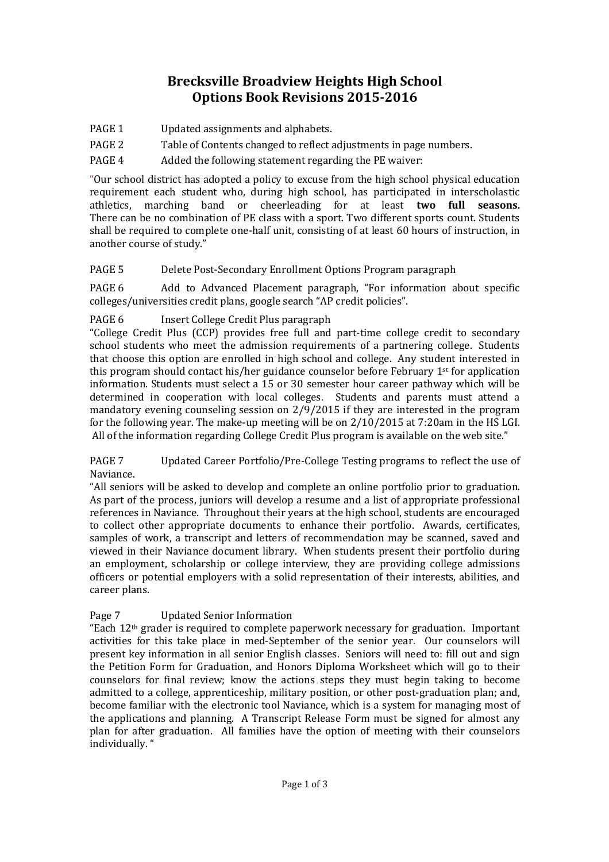# **Brecksville Broadview Heights High School Options Book Revisions 2015-2016**

- PAGE 1 Updated assignments and alphabets.
- PAGE 2 Table of Contents changed to reflect adjustments in page numbers.
- PAGE 4 Added the following statement regarding the PE waiver:

"Our school district has adopted a policy to excuse from the high school physical education requirement each student who, during high school, has participated in interscholastic athletics, marching band or cheerleading for at least **two full seasons.**  There can be no combination of PE class with a sport. Two different sports count. Students shall be required to complete one-half unit, consisting of at least 60 hours of instruction, in another course of study."

PAGE 5 Delete Post-Secondary Enrollment Options Program paragraph

PAGE 6 Add to Advanced Placement paragraph, "For information about specific colleges/universities credit plans, google search "AP credit policies".

PAGE 6 Insert College Credit Plus paragraph

"College Credit Plus (CCP) provides free full and part-time college credit to secondary school students who meet the admission requirements of a partnering college. Students that choose this option are enrolled in high school and college. Any student interested in this program should contact his/her guidance counselor before February  $1<sup>st</sup>$  for application information. Students must select a 15 or 30 semester hour career pathway which will be determined in cooperation with local colleges. Students and parents must attend a mandatory evening counseling session on 2/9/2015 if they are interested in the program for the following year. The make-up meeting will be on 2/10/2015 at 7:20am in the HS LGI. All of the information regarding College Credit Plus program is available on the web site."

PAGE 7 Updated Career Portfolio/Pre-College Testing programs to reflect the use of Naviance.

"All seniors will be asked to develop and complete an online portfolio prior to graduation. As part of the process, juniors will develop a resume and a list of appropriate professional references in Naviance. Throughout their years at the high school, students are encouraged to collect other appropriate documents to enhance their portfolio. Awards, certificates, samples of work, a transcript and letters of recommendation may be scanned, saved and viewed in their Naviance document library. When students present their portfolio during an employment, scholarship or college interview, they are providing college admissions officers or potential employers with a solid representation of their interests, abilities, and career plans.

### Page 7 Updated Senior Information

"Each  $12<sup>th</sup>$  grader is required to complete paperwork necessary for graduation. Important activities for this take place in med-September of the senior year. Our counselors will present key information in all senior English classes. Seniors will need to: fill out and sign the Petition Form for Graduation, and Honors Diploma Worksheet which will go to their counselors for final review; know the actions steps they must begin taking to become admitted to a college, apprenticeship, military position, or other post-graduation plan; and, become familiar with the electronic tool Naviance, which is a system for managing most of the applications and planning. A Transcript Release Form must be signed for almost any plan for after graduation. All families have the option of meeting with their counselors individually. "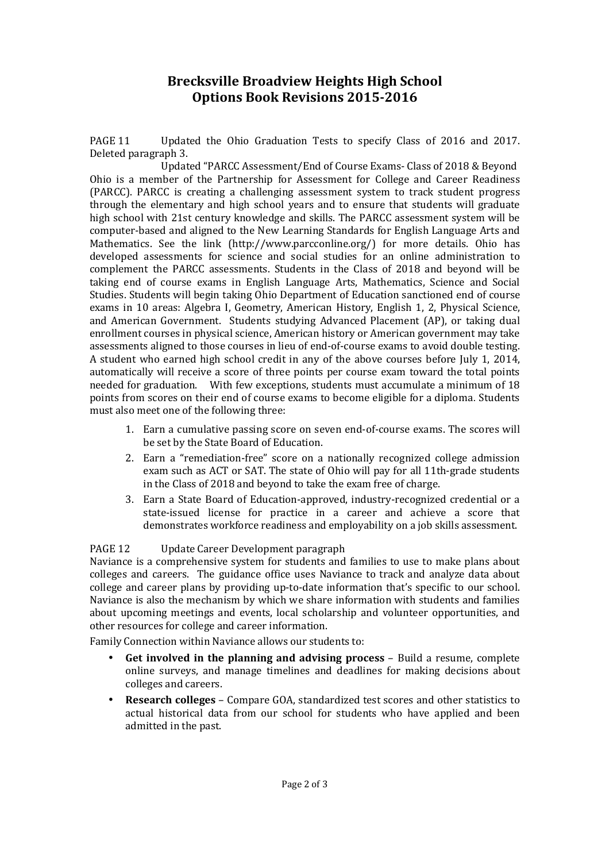## **Brecksville Broadview Heights High School Options Book Revisions 2015-2016**

PAGE 11 Updated the Ohio Graduation Tests to specify Class of 2016 and 2017. Deleted paragraph 3.

 Updated "PARCC Assessment/End of Course Exams- Class of 2018 & Beyond Ohio is a member of the Partnership for Assessment for College and Career Readiness (PARCC). PARCC is creating a challenging assessment system to track student progress through the elementary and high school years and to ensure that students will graduate high school with 21st century knowledge and skills. The PARCC assessment system will be computer-based and aligned to the New Learning Standards for English Language Arts and Mathematics. See the link (http://www.parcconline.org/) for more details. Ohio has developed assessments for science and social studies for an online administration to complement the PARCC assessments. Students in the Class of 2018 and beyond will be taking end of course exams in English Language Arts, Mathematics, Science and Social Studies. Students will begin taking Ohio Department of Education sanctioned end of course exams in 10 areas: Algebra I, Geometry, American History, English 1, 2, Physical Science, and American Government. Students studying Advanced Placement (AP), or taking dual enrollment courses in physical science, American history or American government may take assessments aligned to those courses in lieu of end-of-course exams to avoid double testing. A student who earned high school credit in any of the above courses before July 1, 2014, automatically will receive a score of three points per course exam toward the total points needed for graduation. With few exceptions, students must accumulate a minimum of 18 points from scores on their end of course exams to become eligible for a diploma. Students must also meet one of the following three:

- 1. Earn a cumulative passing score on seven end-of-course exams. The scores will be set by the State Board of Education.
- 2. Earn a "remediation-free" score on a nationally recognized college admission exam such as ACT or SAT. The state of Ohio will pay for all 11th-grade students in the Class of 2018 and beyond to take the exam free of charge.
- 3. Earn a State Board of Education-approved, industry-recognized credential or a state-issued license for practice in a career and achieve a score that demonstrates workforce readiness and employability on a job skills assessment.

#### PAGE 12 Update Career Development paragraph

Naviance is a comprehensive system for students and families to use to make plans about colleges and careers. The guidance office uses Naviance to track and analyze data about college and career plans by providing up-to-date information that's specific to our school. Naviance is also the mechanism by which we share information with students and families about upcoming meetings and events, local scholarship and volunteer opportunities, and other resources for college and career information.

Family Connection within Naviance allows our students to:

- **Get involved in the planning and advising process** Build a resume, complete online surveys, and manage timelines and deadlines for making decisions about colleges and careers.
- **Research colleges** Compare GOA, standardized test scores and other statistics to actual historical data from our school for students who have applied and been admitted in the past.